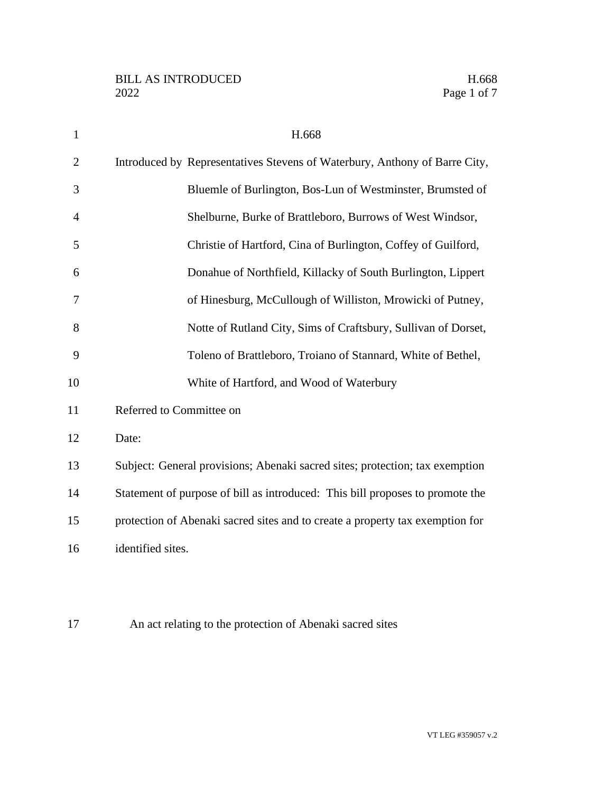| $\mathbf{1}$   | H.668                                                                         |
|----------------|-------------------------------------------------------------------------------|
| $\overline{2}$ | Introduced by Representatives Stevens of Waterbury, Anthony of Barre City,    |
| 3              | Bluemle of Burlington, Bos-Lun of Westminster, Brumsted of                    |
| 4              | Shelburne, Burke of Brattleboro, Burrows of West Windsor,                     |
| 5              | Christie of Hartford, Cina of Burlington, Coffey of Guilford,                 |
| 6              | Donahue of Northfield, Killacky of South Burlington, Lippert                  |
| 7              | of Hinesburg, McCullough of Williston, Mrowicki of Putney,                    |
| 8              | Notte of Rutland City, Sims of Craftsbury, Sullivan of Dorset,                |
| 9              | Toleno of Brattleboro, Troiano of Stannard, White of Bethel,                  |
| 10             | White of Hartford, and Wood of Waterbury                                      |
| 11             | Referred to Committee on                                                      |
| 12             | Date:                                                                         |
| 13             | Subject: General provisions; Abenaki sacred sites; protection; tax exemption  |
| 14             | Statement of purpose of bill as introduced: This bill proposes to promote the |
| 15             | protection of Abenaki sacred sites and to create a property tax exemption for |
| 16             | identified sites.                                                             |
|                |                                                                               |

An act relating to the protection of Abenaki sacred sites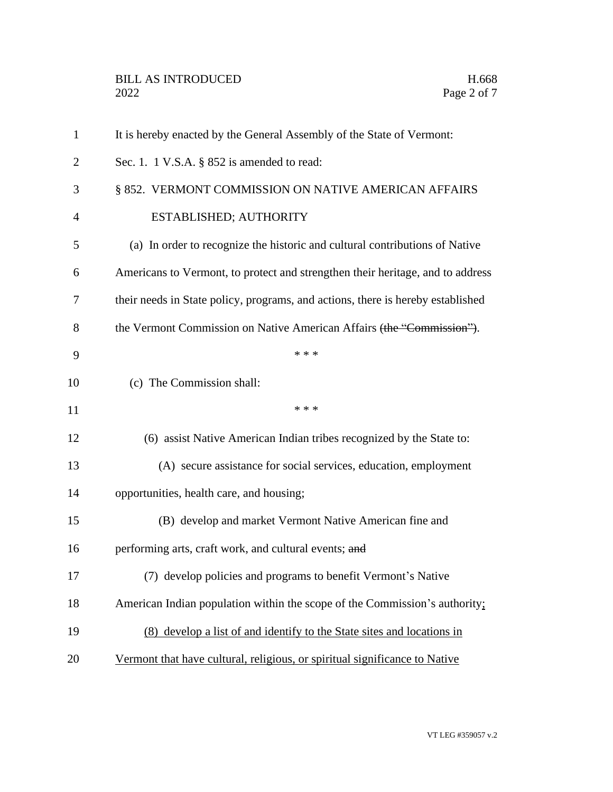| $\mathbf{1}$ | It is hereby enacted by the General Assembly of the State of Vermont:           |
|--------------|---------------------------------------------------------------------------------|
| 2            | Sec. 1. 1 V.S.A. $\S$ 852 is amended to read:                                   |
| 3            | § 852. VERMONT COMMISSION ON NATIVE AMERICAN AFFAIRS                            |
| 4            | ESTABLISHED; AUTHORITY                                                          |
| 5            | (a) In order to recognize the historic and cultural contributions of Native     |
| 6            | Americans to Vermont, to protect and strengthen their heritage, and to address  |
| 7            | their needs in State policy, programs, and actions, there is hereby established |
| 8            | the Vermont Commission on Native American Affairs (the "Commission").           |
| 9            | * * *                                                                           |
| 10           | (c) The Commission shall:                                                       |
| 11           | * * *                                                                           |
| 12           | (6) assist Native American Indian tribes recognized by the State to:            |
| 13           | (A) secure assistance for social services, education, employment                |
| 14           | opportunities, health care, and housing;                                        |
| 15           | (B) develop and market Vermont Native American fine and                         |
| 16           | performing arts, craft work, and cultural events; and                           |
| 17           | (7) develop policies and programs to benefit Vermont's Native                   |
| 18           | American Indian population within the scope of the Commission's authority;      |
| 19           | (8) develop a list of and identify to the State sites and locations in          |
| 20           | Vermont that have cultural, religious, or spiritual significance to Native      |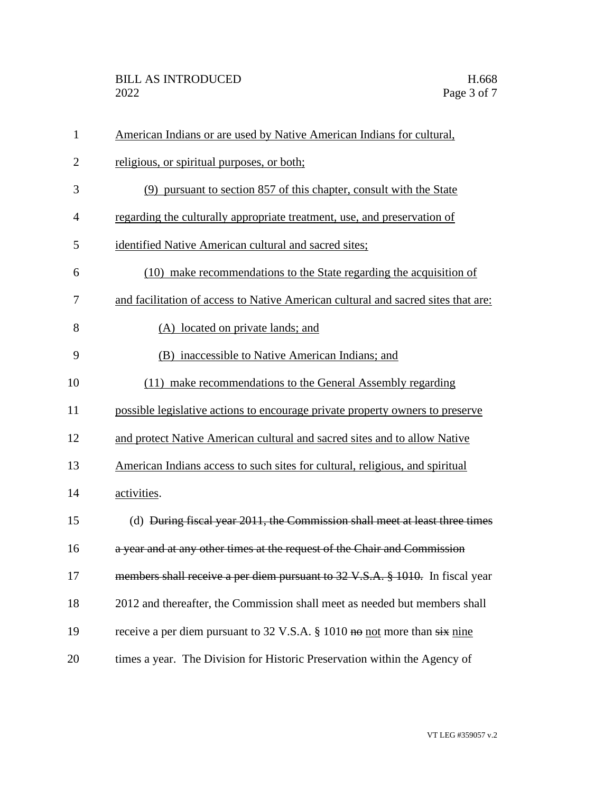| $\mathbf{1}$   | American Indians or are used by Native American Indians for cultural,                |
|----------------|--------------------------------------------------------------------------------------|
| $\overline{2}$ | religious, or spiritual purposes, or both;                                           |
| 3              | (9) pursuant to section 857 of this chapter, consult with the State                  |
| $\overline{4}$ | regarding the culturally appropriate treatment, use, and preservation of             |
| 5              | identified Native American cultural and sacred sites;                                |
| 6              | (10) make recommendations to the State regarding the acquisition of                  |
| 7              | and facilitation of access to Native American cultural and sacred sites that are:    |
| 8              | (A) located on private lands; and                                                    |
| 9              | (B) inaccessible to Native American Indians; and                                     |
| 10             | (11) make recommendations to the General Assembly regarding                          |
| 11             | possible legislative actions to encourage private property owners to preserve        |
| 12             | and protect Native American cultural and sacred sites and to allow Native            |
| 13             | American Indians access to such sites for cultural, religious, and spiritual         |
| 14             | activities.                                                                          |
| 15             | (d) During fiscal year 2011, the Commission shall meet at least three times          |
| 16             | a year and at any other times at the request of the Chair and Commission             |
| 17             | members shall receive a per diem pursuant to 32 V.S.A. § 1010. In fiscal year        |
| 18             | 2012 and thereafter, the Commission shall meet as needed but members shall           |
| 19             | receive a per diem pursuant to 32 V.S.A. § 1010 <del>no</del> not more than six nine |
| 20             | times a year. The Division for Historic Preservation within the Agency of            |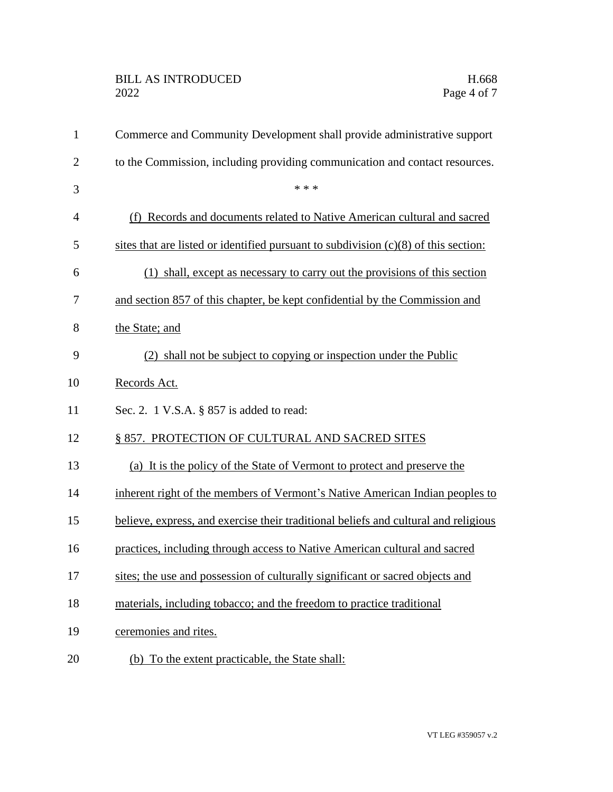## BILL AS INTRODUCED H.668<br>2022 Page 4 of 7

| $\mathbf{1}$   | Commerce and Community Development shall provide administrative support               |
|----------------|---------------------------------------------------------------------------------------|
| $\overline{2}$ | to the Commission, including providing communication and contact resources.           |
| 3              | * * *                                                                                 |
| $\overline{4}$ | (f) Records and documents related to Native American cultural and sacred              |
| 5              | sites that are listed or identified pursuant to subdivision $(c)(8)$ of this section: |
| 6              | (1) shall, except as necessary to carry out the provisions of this section            |
| 7              | and section 857 of this chapter, be kept confidential by the Commission and           |
| 8              | the State; and                                                                        |
| 9              | (2) shall not be subject to copying or inspection under the Public                    |
| 10             | Records Act.                                                                          |
| 11             | Sec. 2. 1 V.S.A. § 857 is added to read:                                              |
| 12             | § 857. PROTECTION OF CULTURAL AND SACRED SITES                                        |
| 13             | (a) It is the policy of the State of Vermont to protect and preserve the              |
| 14             | inherent right of the members of Vermont's Native American Indian peoples to          |
| 15             | believe, express, and exercise their traditional beliefs and cultural and religious   |
| 16             | practices, including through access to Native American cultural and sacred            |
| 17             | sites; the use and possession of culturally significant or sacred objects and         |
| 18             | materials, including tobacco; and the freedom to practice traditional                 |
| 19             | ceremonies and rites.                                                                 |
| 20             | (b) To the extent practicable, the State shall:                                       |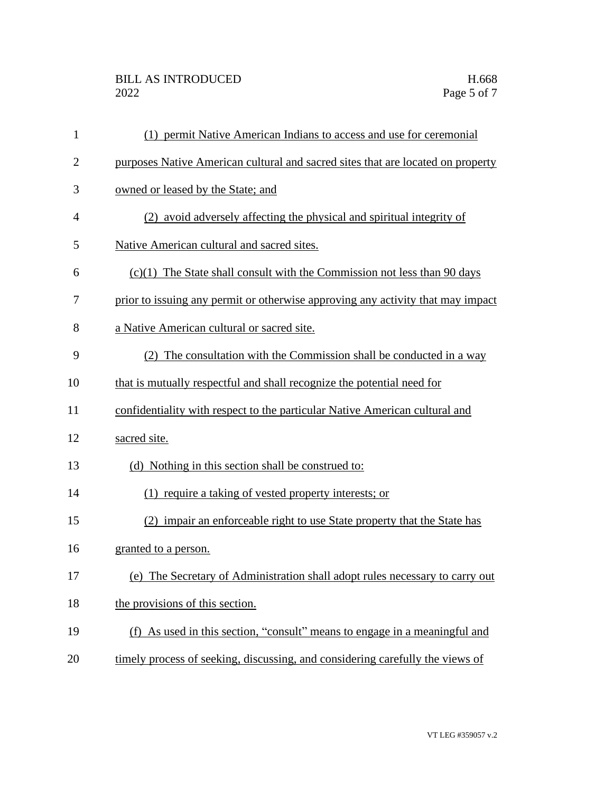| 1              | (1) permit Native American Indians to access and use for ceremonial             |
|----------------|---------------------------------------------------------------------------------|
| $\overline{2}$ | purposes Native American cultural and sacred sites that are located on property |
| 3              | owned or leased by the State; and                                               |
| $\overline{4}$ | (2) avoid adversely affecting the physical and spiritual integrity of           |
| 5              | Native American cultural and sacred sites.                                      |
| 6              | $(c)(1)$ The State shall consult with the Commission not less than 90 days      |
| 7              | prior to issuing any permit or otherwise approving any activity that may impact |
| 8              | a Native American cultural or sacred site.                                      |
| 9              | (2) The consultation with the Commission shall be conducted in a way            |
| 10             | that is mutually respectful and shall recognize the potential need for          |
| 11             | confidentiality with respect to the particular Native American cultural and     |
| 12             | sacred site.                                                                    |
| 13             | (d) Nothing in this section shall be construed to:                              |
| 14             | (1) require a taking of vested property interests; or                           |
| 15             | (2) impair an enforceable right to use State property that the State has        |
| 16             | granted to a person.                                                            |
| 17             | (e) The Secretary of Administration shall adopt rules necessary to carry out    |
| 18             | the provisions of this section.                                                 |
| 19             | (f) As used in this section, "consult" means to engage in a meaningful and      |
| 20             | timely process of seeking, discussing, and considering carefully the views of   |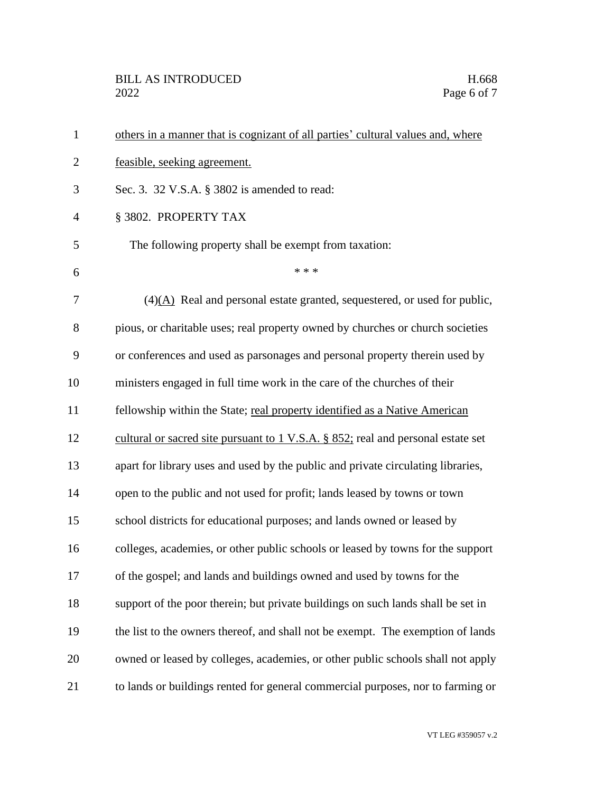| $\mathbf{1}$   | others in a manner that is cognizant of all parties' cultural values and, where              |
|----------------|----------------------------------------------------------------------------------------------|
| $\overline{2}$ | feasible, seeking agreement.                                                                 |
| 3              | Sec. 3. 32 V.S.A. § 3802 is amended to read:                                                 |
| $\overline{4}$ | § 3802. PROPERTY TAX                                                                         |
| 5              | The following property shall be exempt from taxation:                                        |
| 6              | * * *                                                                                        |
| 7              | $(4)(A)$ Real and personal estate granted, sequestered, or used for public,                  |
| 8              | pious, or charitable uses; real property owned by churches or church societies               |
| 9              | or conferences and used as parsonages and personal property therein used by                  |
| 10             | ministers engaged in full time work in the care of the churches of their                     |
| 11             | fellowship within the State; real property identified as a Native American                   |
| 12             | cultural or sacred site pursuant to $1 \text{ V.S.A. }$ \$ 852; real and personal estate set |
| 13             | apart for library uses and used by the public and private circulating libraries,             |
| 14             | open to the public and not used for profit; lands leased by towns or town                    |
| 15             | school districts for educational purposes; and lands owned or leased by                      |
| 16             | colleges, academies, or other public schools or leased by towns for the support              |
| 17             | of the gospel; and lands and buildings owned and used by towns for the                       |
| 18             | support of the poor therein; but private buildings on such lands shall be set in             |
| 19             | the list to the owners thereof, and shall not be exempt. The exemption of lands              |
| 20             | owned or leased by colleges, academies, or other public schools shall not apply              |
| 21             | to lands or buildings rented for general commercial purposes, nor to farming or              |